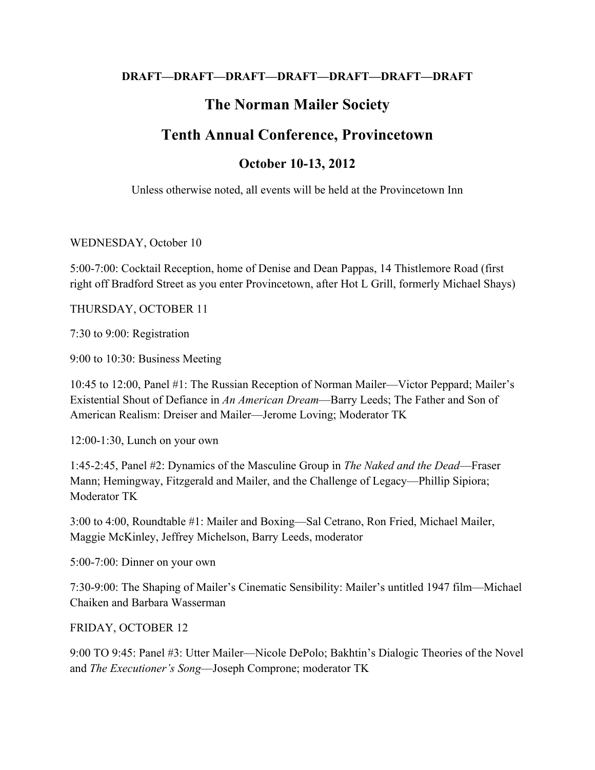### **DRAFT—DRAFT—DRAFT—DRAFT—DRAFT—DRAFT—DRAFT**

## **The Norman Mailer Society**

# **Tenth Annual Conference, Provincetown**

### **October 10-13, 2012**

Unless otherwise noted, all events will be held at the Provincetown Inn

### WEDNESDAY, October 10

5:00-7:00: Cocktail Reception, home of Denise and Dean Pappas, 14 Thistlemore Road (first right off Bradford Street as you enter Provincetown, after Hot L Grill, formerly Michael Shays)

### THURSDAY, OCTOBER 11

7:30 to 9:00: Registration

9:00 to 10:30: Business Meeting

10:45 to 12:00, Panel #1: The Russian Reception of Norman Mailer—Victor Peppard; Mailer's Existential Shout of Defiance in *An American Dream*—Barry Leeds; The Father and Son of American Realism: Dreiser and Mailer—Jerome Loving; Moderator TK

12:00-1:30, Lunch on your own

1:45-2:45, Panel #2: Dynamics of the Masculine Group in *The Naked and the Dead*—Fraser Mann; Hemingway, Fitzgerald and Mailer, and the Challenge of Legacy—Phillip Sipiora; Moderator TK

3:00 to 4:00, Roundtable #1: Mailer and Boxing—Sal Cetrano, Ron Fried, Michael Mailer, Maggie McKinley, Jeffrey Michelson, Barry Leeds, moderator

5:00-7:00: Dinner on your own

7:30-9:00: The Shaping of Mailer's Cinematic Sensibility: Mailer's untitled 1947 film—Michael Chaiken and Barbara Wasserman

FRIDAY, OCTOBER 12

9:00 TO 9:45: Panel #3: Utter Mailer—Nicole DePolo; Bakhtin's Dialogic Theories of the Novel and *The Executioner's Song*—Joseph Comprone; moderator TK